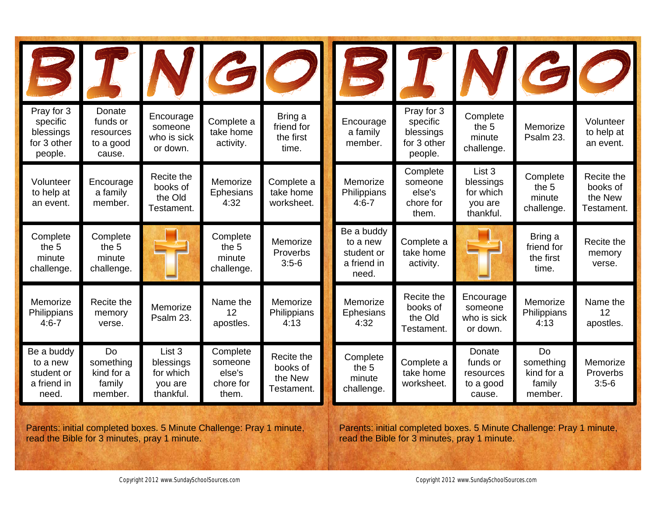|                                                               |                                                        |                                                          |                                                     | VGO                                             | <b>MA</b>                                                    |                                                               |                                                                     |                                                    | 60                                              |
|---------------------------------------------------------------|--------------------------------------------------------|----------------------------------------------------------|-----------------------------------------------------|-------------------------------------------------|--------------------------------------------------------------|---------------------------------------------------------------|---------------------------------------------------------------------|----------------------------------------------------|-------------------------------------------------|
| Pray for 3<br>specific<br>blessings<br>for 3 other<br>people. | Donate<br>funds or<br>resources<br>to a good<br>cause. | Encourage<br>someone<br>who is sick<br>or down.          | Complete a<br>take home<br>activity.                | Bring a<br>friend for<br>the first<br>time.     | Encourage<br>a family<br>member.                             | Pray for 3<br>specific<br>blessings<br>for 3 other<br>people. | Complete<br>the 5<br>minute<br>challenge.                           | Memorize<br>Psalm 23.                              | Volunteer<br>to help at<br>an event.            |
| Volunteer<br>to help at<br>an event.                          | Encourage<br>a family<br>member.                       | Recite the<br>books of<br>the Old<br>Testament.          | Memorize<br><b>Ephesians</b><br>4:32                | Complete a<br>take home<br>worksheet.           | Memorize<br>Philippians<br>$4:6 - 7$                         | Complete<br>someone<br>else's<br>chore for<br>them.           | List <sub>3</sub><br>blessings<br>for which<br>you are<br>thankful. | Complete<br>the 5<br>minute<br>challenge.          | Recite the<br>books of<br>the New<br>Testament. |
| Complete<br>the 5<br>minute<br>challenge.                     | Complete<br>the 5<br>minute<br>challenge.              |                                                          | Complete<br>the 5<br>minute<br>challenge.           | Memorize<br>Proverbs<br>$3:5-6$                 | Be a buddy<br>to a new<br>student or<br>a friend in<br>need. | Complete a<br>take home<br>activity.                          |                                                                     | Bring a<br>friend for<br>the first<br>time.        | Recite the<br>memory<br>verse.                  |
| Memorize<br>Philippians<br>$4:6 - 7$                          | Recite the<br>memory<br>verse.                         | Memorize<br>Psalm 23.                                    | Name the<br>12<br>apostles.                         | Memorize<br>Philippians<br>4:13                 | Memorize<br><b>Ephesians</b><br>4:32                         | Recite the<br>books of<br>the Old<br>Testament.               | Encourage<br>someone<br>who is sick<br>or down.                     | Memorize<br>Philippians<br>4:13                    | Name the<br>12<br>apostles.                     |
| Be a buddy<br>to a new<br>student or<br>a friend in<br>need.  | Do<br>something<br>kind for a<br>family<br>member.     | List 3<br>blessings<br>for which<br>you are<br>thankful. | Complete<br>someone<br>else's<br>chore for<br>them. | Recite the<br>books of<br>the New<br>Testament. | Complete<br>the 5<br>minute<br>challenge.                    | Complete a<br>take home<br>worksheet.                         | Donate<br>funds or<br>resources<br>to a good<br>cause.              | Do<br>something<br>kind for a<br>family<br>member. | Memorize<br>Proverbs<br>$3:5-6$                 |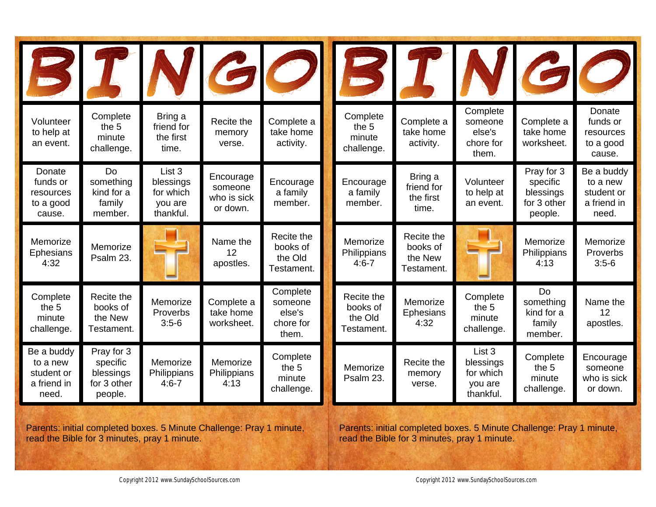|                                                              |                                                               |                                                          |                                                 | VGO                                                 | WV.                                             |                                                 |                                                                     |                                                               | 60                                                           |
|--------------------------------------------------------------|---------------------------------------------------------------|----------------------------------------------------------|-------------------------------------------------|-----------------------------------------------------|-------------------------------------------------|-------------------------------------------------|---------------------------------------------------------------------|---------------------------------------------------------------|--------------------------------------------------------------|
| Volunteer<br>to help at<br>an event.                         | Complete<br>the 5<br>minute<br>challenge.                     | Bring a<br>friend for<br>the first<br>time.              | Recite the<br>memory<br>verse.                  | Complete a<br>take home<br>activity.                | Complete<br>the 5<br>minute<br>challenge.       | Complete a<br>take home<br>activity.            | Complete<br>someone<br>else's<br>chore for<br>them.                 | Complete a<br>take home<br>worksheet.                         | Donate<br>funds or<br>resources<br>to a good<br>cause.       |
| Donate<br>funds or<br>resources<br>to a good<br>cause.       | Do<br>something<br>kind for a<br>family<br>member.            | List 3<br>blessings<br>for which<br>you are<br>thankful. | Encourage<br>someone<br>who is sick<br>or down. | Encourage<br>a family<br>member.                    | Encourage<br>a family<br>member.                | Bring a<br>friend for<br>the first<br>time.     | Volunteer<br>to help at<br>an event.                                | Pray for 3<br>specific<br>blessings<br>for 3 other<br>people. | Be a buddy<br>to a new<br>student or<br>a friend in<br>need. |
| Memorize<br>Ephesians<br>4:32                                | Memorize<br>Psalm 23.                                         |                                                          | Name the<br>12<br>apostles.                     | Recite the<br>books of<br>the Old<br>Testament.     | Memorize<br>Philippians<br>$4:6 - 7$            | Recite the<br>books of<br>the New<br>Testament. |                                                                     | Memorize<br>Philippians<br>4:13                               | Memorize<br>Proverbs<br>$3:5-6$                              |
| Complete<br>the 5<br>minute<br>challenge.                    | Recite the<br>books of<br>the New<br>Testament.               | Memorize<br>Proverbs<br>$3:5-6$                          | Complete a<br>take home<br>worksheet.           | Complete<br>someone<br>else's<br>chore for<br>them. | Recite the<br>books of<br>the Old<br>Testament. | Memorize<br><b>Ephesians</b><br>4:32            | Complete<br>the 5<br>minute<br>challenge.                           | Do<br>something<br>kind for a<br>family<br>member.            | Name the<br>12<br>apostles.                                  |
| Be a buddy<br>to a new<br>student or<br>a friend in<br>need. | Pray for 3<br>specific<br>blessings<br>for 3 other<br>people. | Memorize<br>Philippians<br>$4:6 - 7$                     | Memorize<br>Philippians<br>4:13                 | Complete<br>the 5<br>minute<br>challenge.           | Memorize<br>Psalm 23.                           | Recite the<br>memory<br>verse.                  | List <sub>3</sub><br>blessings<br>for which<br>you are<br>thankful. | Complete<br>the 5<br>minute<br>challenge.                     | Encourage<br>someone<br>who is sick<br>or down.              |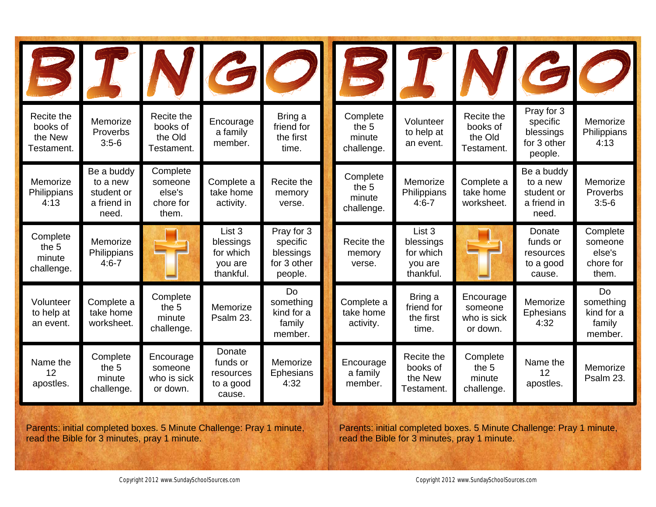|                                                 |                                                              |                                                     |                                                          | NGO                                                           | WV                                        |                                                                     |                                                 | $\mathcal{C}$                                                 |                                                     |
|-------------------------------------------------|--------------------------------------------------------------|-----------------------------------------------------|----------------------------------------------------------|---------------------------------------------------------------|-------------------------------------------|---------------------------------------------------------------------|-------------------------------------------------|---------------------------------------------------------------|-----------------------------------------------------|
| Recite the<br>books of<br>the New<br>Testament. | Memorize<br>Proverbs<br>$3:5-6$                              | Recite the<br>books of<br>the Old<br>Testament.     | Encourage<br>a family<br>member.                         | Bring a<br>friend for<br>the first<br>time.                   | Complete<br>the 5<br>minute<br>challenge. | Volunteer<br>to help at<br>an event.                                | Recite the<br>books of<br>the Old<br>Testament. | Pray for 3<br>specific<br>blessings<br>for 3 other<br>people. | Memorize<br>Philippians<br>4:13                     |
| Memorize<br>Philippians<br>4:13                 | Be a buddy<br>to a new<br>student or<br>a friend in<br>need. | Complete<br>someone<br>else's<br>chore for<br>them. | Complete a<br>take home<br>activity.                     | Recite the<br>memory<br>verse.                                | Complete<br>the 5<br>minute<br>challenge. | Memorize<br>Philippians<br>$4:6 - 7$                                | Complete a<br>take home<br>worksheet.           | Be a buddy<br>to a new<br>student or<br>a friend in<br>need.  | Memorize<br>Proverbs<br>$3:5-6$                     |
| Complete<br>the 5<br>minute<br>challenge.       | Memorize<br>Philippians<br>$4:6 - 7$                         |                                                     | List 3<br>blessings<br>for which<br>you are<br>thankful. | Pray for 3<br>specific<br>blessings<br>for 3 other<br>people. | Recite the<br>memory<br>verse.            | List <sub>3</sub><br>blessings<br>for which<br>you are<br>thankful. |                                                 | Donate<br>funds or<br>resources<br>to a good<br>cause.        | Complete<br>someone<br>else's<br>chore for<br>them. |
| Volunteer<br>to help at<br>an event.            | Complete a<br>take home<br>worksheet.                        | Complete<br>the 5<br>minute<br>challenge.           | Memorize<br>Psalm 23.                                    | Do<br>something<br>kind for a<br>family<br>member.            | Complete a<br>take home<br>activity.      | Bring a<br>friend for<br>the first<br>time.                         | Encourage<br>someone<br>who is sick<br>or down. | Memorize<br>Ephesians<br>4:32                                 | Do<br>something<br>kind for a<br>family<br>member.  |
| Name the<br>12<br>apostles.                     | Complete<br>the 5<br>minute<br>challenge.                    | Encourage<br>someone<br>who is sick<br>or down.     | Donate<br>funds or<br>resources<br>to a good<br>cause.   | Memorize<br><b>Ephesians</b><br>4:32                          | Encourage<br>a family<br>member.          | Recite the<br>books of<br>the New<br>Testament.                     | Complete<br>the 5<br>minute<br>challenge.       | Name the<br>12<br>apostles.                                   | Memorize<br>Psalm 23.                               |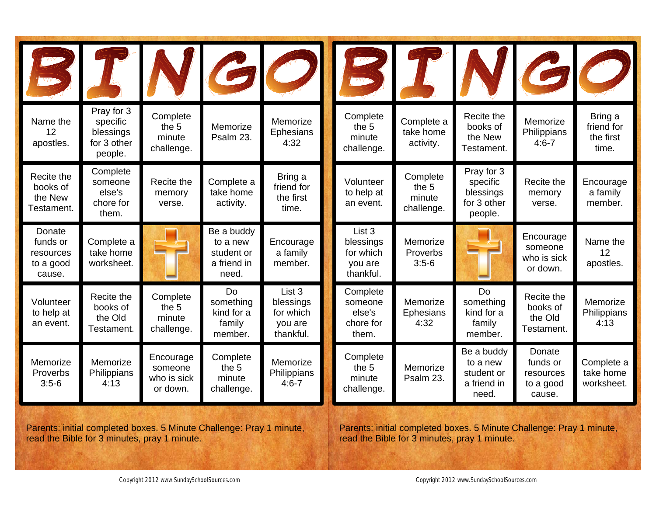|                                                        |                                                               |                                                 |                                                              | NGO                                                      | MA <sub>22</sub>                                         |                                           |                                                               |                                                        | $\boldsymbol{G}$                            |
|--------------------------------------------------------|---------------------------------------------------------------|-------------------------------------------------|--------------------------------------------------------------|----------------------------------------------------------|----------------------------------------------------------|-------------------------------------------|---------------------------------------------------------------|--------------------------------------------------------|---------------------------------------------|
| Name the<br>12<br>apostles.                            | Pray for 3<br>specific<br>blessings<br>for 3 other<br>people. | Complete<br>the 5<br>minute<br>challenge.       | Memorize<br>Psalm 23.                                        | Memorize<br><b>Ephesians</b><br>4:32                     | Complete<br>the 5<br>minute<br>challenge.                | Complete a<br>take home<br>activity.      | Recite the<br>books of<br>the New<br>Testament.               | Memorize<br>Philippians<br>$4:6 - 7$                   | Bring a<br>friend for<br>the first<br>time. |
| Recite the<br>books of<br>the New<br>Testament.        | Complete<br>someone<br>else's<br>chore for<br>them.           | Recite the<br>memory<br>verse.                  | Complete a<br>take home<br>activity.                         | Bring a<br>friend for<br>the first<br>time.              | Volunteer<br>to help at<br>an event.                     | Complete<br>the 5<br>minute<br>challenge. | Pray for 3<br>specific<br>blessings<br>for 3 other<br>people. | Recite the<br>memory<br>verse.                         | Encourage<br>a family<br>member.            |
| Donate<br>funds or<br>resources<br>to a good<br>cause. | Complete a<br>take home<br>worksheet.                         |                                                 | Be a buddy<br>to a new<br>student or<br>a friend in<br>need. | Encourage<br>a family<br>member.                         | List 3<br>blessings<br>for which<br>you are<br>thankful. | Memorize<br>Proverbs<br>$3:5-6$           |                                                               | Encourage<br>someone<br>who is sick<br>or down.        | Name the<br>12<br>apostles.                 |
| Volunteer<br>to help at<br>an event.                   | Recite the<br>books of<br>the Old<br>Testament.               | Complete<br>the 5<br>minute<br>challenge.       | Do<br>something<br>kind for a<br>family<br>member.           | List 3<br>blessings<br>for which<br>you are<br>thankful. | Complete<br>someone<br>else's<br>chore for<br>them.      | Memorize<br><b>Ephesians</b><br>4:32      | Do<br>something<br>kind for a<br>family<br>member.            | Recite the<br>books of<br>the Old<br>Testament.        | Memorize<br>Philippians<br>4:13             |
| Memorize<br>Proverbs<br>$3:5-6$                        | Memorize<br>Philippians<br>4:13                               | Encourage<br>someone<br>who is sick<br>or down. | Complete<br>the 5<br>minute<br>challenge.                    | Memorize<br>Philippians<br>$4:6 - 7$                     | Complete<br>the 5<br>minute<br>challenge.                | Memorize<br>Psalm 23.                     | Be a buddy<br>to a new<br>student or<br>a friend in<br>need.  | Donate<br>funds or<br>resources<br>to a good<br>cause. | Complete a<br>take home<br>worksheet.       |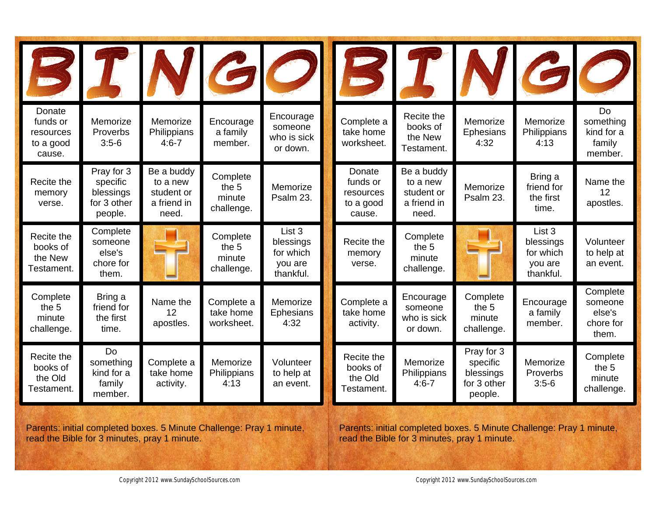|                                                        |                                                               |                                                              |                                           | P N G O                                                  | <b>MAG</b>                                             |                                                              |                                                               |                                                          | 60                                                  |
|--------------------------------------------------------|---------------------------------------------------------------|--------------------------------------------------------------|-------------------------------------------|----------------------------------------------------------|--------------------------------------------------------|--------------------------------------------------------------|---------------------------------------------------------------|----------------------------------------------------------|-----------------------------------------------------|
| Donate<br>funds or<br>resources<br>to a good<br>cause. | Memorize<br>Proverbs<br>$3:5-6$                               | Memorize<br>Philippians<br>$4:6 - 7$                         | Encourage<br>a family<br>member.          | Encourage<br>someone<br>who is sick<br>or down.          | Complete a<br>take home<br>worksheet.                  | Recite the<br>books of<br>the New<br>Testament.              | Memorize<br><b>Ephesians</b><br>4:32                          | Memorize<br>Philippians<br>4:13                          | Do<br>something<br>kind for a<br>family<br>member.  |
| Recite the<br>memory<br>verse.                         | Pray for 3<br>specific<br>blessings<br>for 3 other<br>people. | Be a buddy<br>to a new<br>student or<br>a friend in<br>need. | Complete<br>the 5<br>minute<br>challenge. | Memorize<br>Psalm 23.                                    | Donate<br>funds or<br>resources<br>to a good<br>cause. | Be a buddy<br>to a new<br>student or<br>a friend in<br>need. | Memorize<br>Psalm 23.                                         | Bring a<br>friend for<br>the first<br>time.              | Name the<br>12<br>apostles.                         |
| Recite the<br>books of<br>the New<br>Testament.        | Complete<br>someone<br>else's<br>chore for<br>them.           |                                                              | Complete<br>the 5<br>minute<br>challenge. | List 3<br>blessings<br>for which<br>you are<br>thankful. | Recite the<br>memory<br>verse.                         | Complete<br>the 5<br>minute<br>challenge.                    |                                                               | List 3<br>blessings<br>for which<br>you are<br>thankful. | Volunteer<br>to help at<br>an event.                |
| Complete<br>the 5<br>minute<br>challenge.              | Bring a<br>friend for<br>the first<br>time.                   | Name the<br>12<br>apostles.                                  | Complete a<br>take home<br>worksheet.     | Memorize<br><b>Ephesians</b><br>4:32                     | Complete a<br>take home<br>activity.                   | Encourage<br>someone<br>who is sick<br>or down.              | Complete<br>the 5<br>minute<br>challenge.                     | Encourage<br>a family<br>member.                         | Complete<br>someone<br>else's<br>chore for<br>them. |
| Recite the<br>books of<br>the Old<br>Testament.        | <b>Do</b><br>something<br>kind for a<br>family<br>member.     | Complete a<br>take home<br>activity.                         | Memorize<br>Philippians<br>4:13           | Volunteer<br>to help at<br>an event.                     | Recite the<br>books of<br>the Old<br>Testament.        | Memorize<br>Philippians<br>$4:6 - 7$                         | Pray for 3<br>specific<br>blessings<br>for 3 other<br>people. | Memorize<br>Proverbs<br>$3:5-6$                          | Complete<br>the 5<br>minute<br>challenge.           |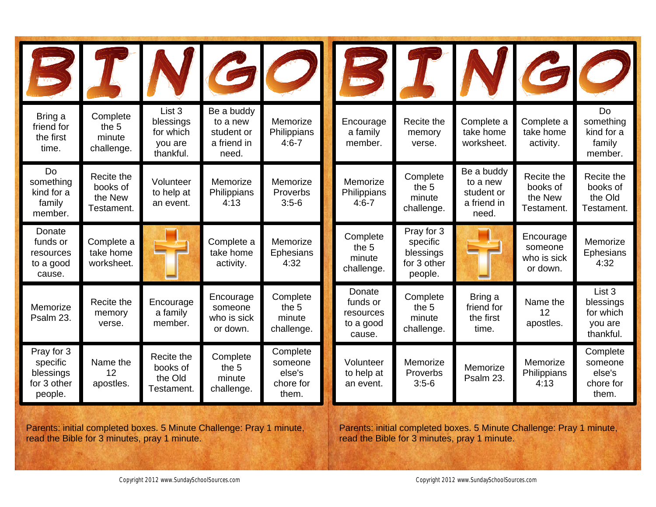| W                                                             |                                                 |                                                          |                                                              | VGO                                                 | W                                                      |                                                               |                                                              |                                                 | $\boldsymbol{G}$                                                    |
|---------------------------------------------------------------|-------------------------------------------------|----------------------------------------------------------|--------------------------------------------------------------|-----------------------------------------------------|--------------------------------------------------------|---------------------------------------------------------------|--------------------------------------------------------------|-------------------------------------------------|---------------------------------------------------------------------|
| Bring a<br>friend for<br>the first<br>time.                   | Complete<br>the 5<br>minute<br>challenge.       | List 3<br>blessings<br>for which<br>you are<br>thankful. | Be a buddy<br>to a new<br>student or<br>a friend in<br>need. | Memorize<br>Philippians<br>$4:6 - 7$                | Encourage<br>a family<br>member.                       | Recite the<br>memory<br>verse.                                | Complete a<br>take home<br>worksheet.                        | Complete a<br>take home<br>activity.            | Do<br>something<br>kind for a<br>family<br>member.                  |
| Do<br>something<br>kind for a<br>family<br>member.            | Recite the<br>books of<br>the New<br>Testament. | Volunteer<br>to help at<br>an event.                     | Memorize<br>Philippians<br>4:13                              | Memorize<br>Proverbs<br>$3:5-6$                     | Memorize<br>Philippians<br>$4:6 - 7$                   | Complete<br>the 5<br>minute<br>challenge.                     | Be a buddy<br>to a new<br>student or<br>a friend in<br>need. | Recite the<br>books of<br>the New<br>Testament. | Recite the<br>books of<br>the Old<br>Testament.                     |
| Donate<br>funds or<br>resources<br>to a good<br>cause.        | Complete a<br>take home<br>worksheet.           |                                                          | Complete a<br>take home<br>activity.                         | Memorize<br><b>Ephesians</b><br>4:32                | Complete<br>the 5<br>minute<br>challenge.              | Pray for 3<br>specific<br>blessings<br>for 3 other<br>people. |                                                              | Encourage<br>someone<br>who is sick<br>or down. | Memorize<br><b>Ephesians</b><br>4:32                                |
| Memorize<br>Psalm 23.                                         | Recite the<br>memory<br>verse.                  | Encourage<br>a family<br>member.                         | Encourage<br>someone<br>who is sick<br>or down.              | Complete<br>the 5<br>minute<br>challenge.           | Donate<br>funds or<br>resources<br>to a good<br>cause. | Complete<br>the 5<br>minute<br>challenge.                     | Bring a<br>friend for<br>the first<br>time.                  | Name the<br>12<br>apostles.                     | List <sub>3</sub><br>blessings<br>for which<br>you are<br>thankful. |
| Pray for 3<br>specific<br>blessings<br>for 3 other<br>people. | Name the<br>12<br>apostles.                     | Recite the<br>books of<br>the Old<br>Testament.          | Complete<br>the 5<br>minute<br>challenge.                    | Complete<br>someone<br>else's<br>chore for<br>them. | Volunteer<br>to help at<br>an event.                   | Memorize<br>Proverbs<br>$3:5-6$                               | Memorize<br>Psalm 23.                                        | Memorize<br>Philippians<br>4:13                 | Complete<br>someone<br>else's<br>chore for<br>them.                 |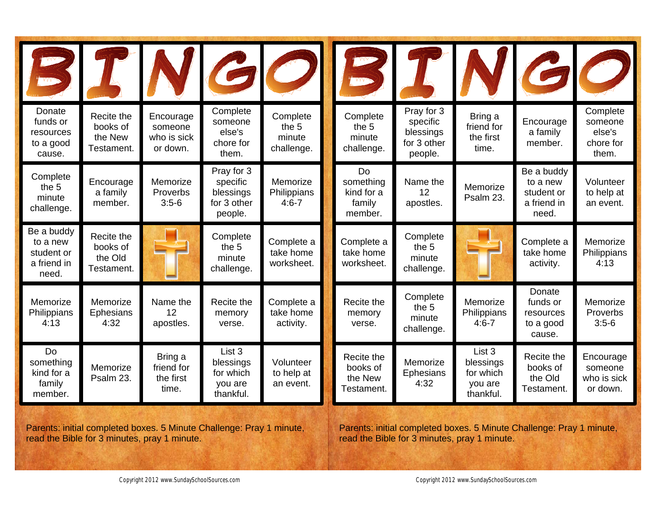| WV.<br><b>WV-2</b>                                           |                                                 |                                                 |                                                               | VGO                                       | <b>MAG</b>                                         |                                                               |                                                          |                                                              | 60                                                  |
|--------------------------------------------------------------|-------------------------------------------------|-------------------------------------------------|---------------------------------------------------------------|-------------------------------------------|----------------------------------------------------|---------------------------------------------------------------|----------------------------------------------------------|--------------------------------------------------------------|-----------------------------------------------------|
| Donate<br>funds or<br>resources<br>to a good<br>cause.       | Recite the<br>books of<br>the New<br>Testament. | Encourage<br>someone<br>who is sick<br>or down. | Complete<br>someone<br>else's<br>chore for<br>them.           | Complete<br>the 5<br>minute<br>challenge. | Complete<br>the 5<br>minute<br>challenge.          | Pray for 3<br>specific<br>blessings<br>for 3 other<br>people. | Bring a<br>friend for<br>the first<br>time.              | Encourage<br>a family<br>member.                             | Complete<br>someone<br>else's<br>chore for<br>them. |
| Complete<br>the 5<br>minute<br>challenge.                    | Encourage<br>a family<br>member.                | Memorize<br>Proverbs<br>$3:5-6$                 | Pray for 3<br>specific<br>blessings<br>for 3 other<br>people. | Memorize<br>Philippians<br>$4:6 - 7$      | Do<br>something<br>kind for a<br>family<br>member. | Name the<br>12<br>apostles.                                   | Memorize<br>Psalm 23.                                    | Be a buddy<br>to a new<br>student or<br>a friend in<br>need. | Volunteer<br>to help at<br>an event.                |
| Be a buddy<br>to a new<br>student or<br>a friend in<br>need. | Recite the<br>books of<br>the Old<br>Testament. |                                                 | Complete<br>the 5<br>minute<br>challenge.                     | Complete a<br>take home<br>worksheet.     | Complete a<br>take home<br>worksheet.              | Complete<br>the 5<br>minute<br>challenge.                     |                                                          | Complete a<br>take home<br>activity.                         | Memorize<br>Philippians<br>4:13                     |
| Memorize<br>Philippians<br>4:13                              | Memorize<br><b>Ephesians</b><br>4:32            | Name the<br>12<br>apostles.                     | Recite the<br>memory<br>verse.                                | Complete a<br>take home<br>activity.      | Recite the<br>memory<br>verse.                     | Complete<br>the 5<br>minute<br>challenge.                     | Memorize<br>Philippians<br>$4:6 - 7$                     | Donate<br>funds or<br>resources<br>to a good<br>cause.       | Memorize<br>Proverbs<br>$3:5-6$                     |
| Do<br>something<br>kind for a<br>family<br>member.           | Memorize<br>Psalm 23.                           | Bring a<br>friend for<br>the first<br>time.     | List 3<br>blessings<br>for which<br>you are<br>thankful.      | Volunteer<br>to help at<br>an event.      | Recite the<br>books of<br>the New<br>Testament.    | Memorize<br>Ephesians<br>4:32                                 | List 3<br>blessings<br>for which<br>you are<br>thankful. | Recite the<br>books of<br>the Old<br>Testament.              | Encourage<br>someone<br>who is sick<br>or down.     |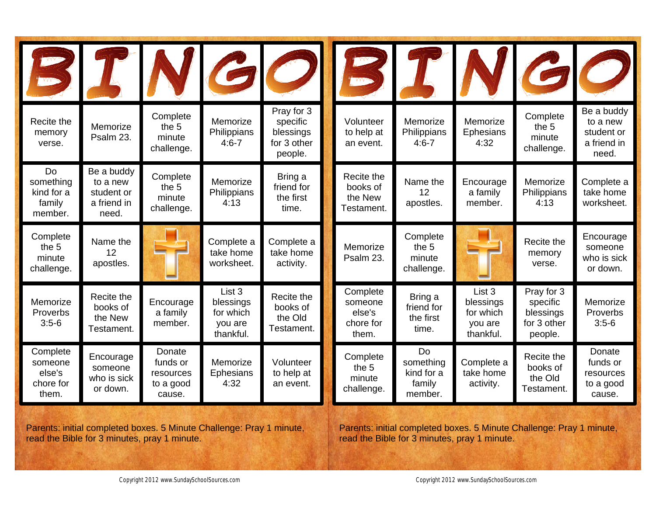|                                                     |                                                              |                                                        |                                                          | 3 T N G O                                                     |                                                     | STN                                                |                                                                     |                                                               | 60                                                           |
|-----------------------------------------------------|--------------------------------------------------------------|--------------------------------------------------------|----------------------------------------------------------|---------------------------------------------------------------|-----------------------------------------------------|----------------------------------------------------|---------------------------------------------------------------------|---------------------------------------------------------------|--------------------------------------------------------------|
| Recite the<br>memory<br>verse.                      | Memorize<br>Psalm 23.                                        | Complete<br>the 5<br>minute<br>challenge.              | Memorize<br>Philippians<br>$4:6 - 7$                     | Pray for 3<br>specific<br>blessings<br>for 3 other<br>people. | Volunteer<br>to help at<br>an event.                | Memorize<br>Philippians<br>$4:6 - 7$               | Memorize<br><b>Ephesians</b><br>4:32                                | Complete<br>the 5<br>minute<br>challenge.                     | Be a buddy<br>to a new<br>student or<br>a friend in<br>need. |
| Do<br>something<br>kind for a<br>family<br>member.  | Be a buddy<br>to a new<br>student or<br>a friend in<br>need. | Complete<br>the 5<br>minute<br>challenge.              | Memorize<br>Philippians<br>4:13                          | Bring a<br>friend for<br>the first<br>time.                   | Recite the<br>books of<br>the New<br>Testament.     | Name the<br>12<br>apostles.                        | Encourage<br>a family<br>member.                                    | Memorize<br>Philippians<br>4:13                               | Complete a<br>take home<br>worksheet.                        |
| Complete<br>the 5<br>minute<br>challenge.           | Name the<br>12<br>apostles.                                  |                                                        | Complete a<br>take home<br>worksheet.                    | Complete a<br>take home<br>activity.                          | Memorize<br>Psalm 23.                               | Complete<br>the 5<br>minute<br>challenge.          |                                                                     | Recite the<br>memory<br>verse.                                | Encourage<br>someone<br>who is sick<br>or down.              |
| Memorize<br>Proverbs<br>$3:5-6$                     | Recite the<br>books of<br>the New<br>Testament.              | Encourage<br>a family<br>member.                       | List 3<br>blessings<br>for which<br>you are<br>thankful. | Recite the<br>books of<br>the Old<br>Testament.               | Complete<br>someone<br>else's<br>chore for<br>them. | Bring a<br>friend for<br>the first<br>time.        | List <sub>3</sub><br>blessings<br>for which<br>you are<br>thankful. | Pray for 3<br>specific<br>blessings<br>for 3 other<br>people. | Memorize<br>Proverbs<br>$3:5-6$                              |
| Complete<br>someone<br>else's<br>chore for<br>them. | Encourage<br>someone<br>who is sick<br>or down.              | Donate<br>funds or<br>resources<br>to a good<br>cause. | Memorize<br><b>Ephesians</b><br>4:32                     | Volunteer<br>to help at<br>an event.                          | Complete<br>the 5<br>minute<br>challenge.           | Do<br>something<br>kind for a<br>family<br>member. | Complete a<br>take home<br>activity.                                | Recite the<br>books of<br>the Old<br>Testament.               | Donate<br>funds or<br>resources<br>to a good<br>cause.       |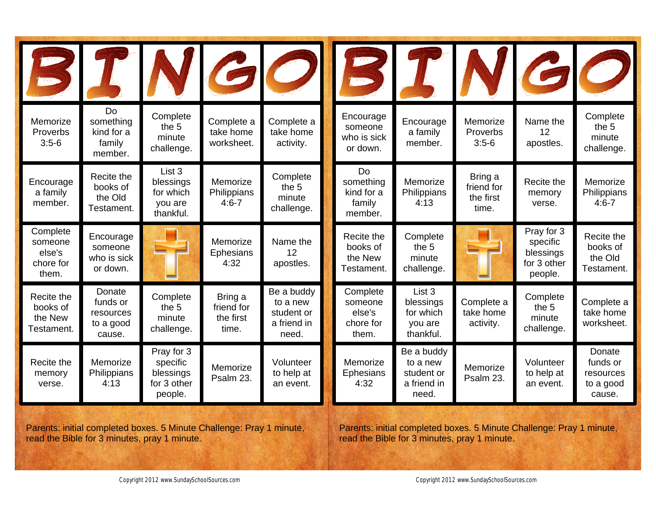|                                                     |                                                        |                                                               |                                             | 3 T N GO                                                     |                                                     |                                                                     |                                             | 3 I N GO                                                      |                                                        |
|-----------------------------------------------------|--------------------------------------------------------|---------------------------------------------------------------|---------------------------------------------|--------------------------------------------------------------|-----------------------------------------------------|---------------------------------------------------------------------|---------------------------------------------|---------------------------------------------------------------|--------------------------------------------------------|
| Memorize<br>Proverbs<br>$3:5-6$                     | Do<br>something<br>kind for a<br>family<br>member.     | Complete<br>the 5<br>minute<br>challenge.                     | Complete a<br>take home<br>worksheet.       | Complete a<br>take home<br>activity.                         | Encourage<br>someone<br>who is sick<br>or down.     | Encourage<br>a family<br>member.                                    | Memorize<br>Proverbs<br>$3:5-6$             | Name the<br>12<br>apostles.                                   | Complete<br>the 5<br>minute<br>challenge.              |
| Encourage<br>a family<br>member.                    | Recite the<br>books of<br>the Old<br>Testament.        | List 3<br>blessings<br>for which<br>you are<br>thankful.      | Memorize<br>Philippians<br>$4:6 - 7$        | Complete<br>the 5<br>minute<br>challenge.                    | Do<br>something<br>kind for a<br>family<br>member.  | Memorize<br>Philippians<br>4:13                                     | Bring a<br>friend for<br>the first<br>time. | Recite the<br>memory<br>verse.                                | Memorize<br>Philippians<br>$4:6 - 7$                   |
| Complete<br>someone<br>else's<br>chore for<br>them. | Encourage<br>someone<br>who is sick<br>or down.        |                                                               | Memorize<br><b>Ephesians</b><br>4:32        | Name the<br>12<br>apostles.                                  | Recite the<br>books of<br>the New<br>Testament.     | Complete<br>the 5<br>minute<br>challenge.                           |                                             | Pray for 3<br>specific<br>blessings<br>for 3 other<br>people. | Recite the<br>books of<br>the Old<br>Testament.        |
| Recite the<br>books of<br>the New<br>Testament.     | Donate<br>funds or<br>resources<br>to a good<br>cause. | Complete<br>the 5<br>minute<br>challenge.                     | Bring a<br>friend for<br>the first<br>time. | Be a buddy<br>to a new<br>student or<br>a friend in<br>need. | Complete<br>someone<br>else's<br>chore for<br>them. | List <sub>3</sub><br>blessings<br>for which<br>you are<br>thankful. | Complete a<br>take home<br>activity.        | Complete<br>the 5<br>minute<br>challenge.                     | Complete a<br>take home<br>worksheet.                  |
| Recite the<br>memory<br>verse.                      | Memorize<br>Philippians<br>4:13                        | Pray for 3<br>specific<br>blessings<br>for 3 other<br>people. | Memorize<br>Psalm 23.                       | Volunteer<br>to help at<br>an event.                         | Memorize<br><b>Ephesians</b><br>4:32                | Be a buddy<br>to a new<br>student or<br>a friend in<br>need.        | Memorize<br>Psalm 23.                       | Volunteer<br>to help at<br>an event.                          | Donate<br>funds or<br>resources<br>to a good<br>cause. |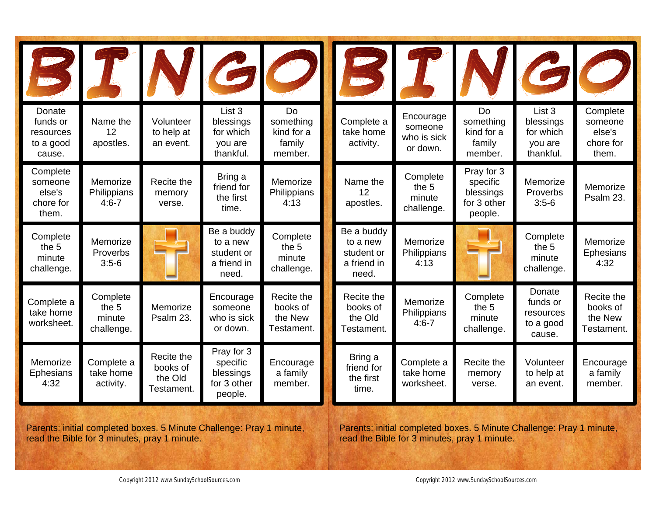|                                                        |                                           |                                                 |                                                               | NGO                                                | <b>WV-3</b>                                                  |                                                 |                                                               |                                                          | $\boldsymbol{G}$                                    |
|--------------------------------------------------------|-------------------------------------------|-------------------------------------------------|---------------------------------------------------------------|----------------------------------------------------|--------------------------------------------------------------|-------------------------------------------------|---------------------------------------------------------------|----------------------------------------------------------|-----------------------------------------------------|
| Donate<br>funds or<br>resources<br>to a good<br>cause. | Name the<br>12<br>apostles.               | Volunteer<br>to help at<br>an event.            | List 3<br>blessings<br>for which<br>you are<br>thankful.      | Do<br>something<br>kind for a<br>family<br>member. | Complete a<br>take home<br>activity.                         | Encourage<br>someone<br>who is sick<br>or down. | Do<br>something<br>kind for a<br>family<br>member.            | List 3<br>blessings<br>for which<br>you are<br>thankful. | Complete<br>someone<br>else's<br>chore for<br>them. |
| Complete<br>someone<br>else's<br>chore for<br>them.    | Memorize<br>Philippians<br>$4:6 - 7$      | Recite the<br>memory<br>verse.                  | Bring a<br>friend for<br>the first<br>time.                   | Memorize<br>Philippians<br>4:13                    | Name the<br>12<br>apostles.                                  | Complete<br>the 5<br>minute<br>challenge.       | Pray for 3<br>specific<br>blessings<br>for 3 other<br>people. | Memorize<br>Proverbs<br>$3:5-6$                          | Memorize<br>Psalm 23.                               |
| Complete<br>the 5<br>minute<br>challenge.              | Memorize<br>Proverbs<br>$3:5-6$           |                                                 | Be a buddy<br>to a new<br>student or<br>a friend in<br>need.  | Complete<br>the 5<br>minute<br>challenge.          | Be a buddy<br>to a new<br>student or<br>a friend in<br>need. | Memorize<br>Philippians<br>4:13                 |                                                               | Complete<br>the 5<br>minute<br>challenge.                | Memorize<br>Ephesians<br>4:32                       |
| Complete a<br>take home<br>worksheet.                  | Complete<br>the 5<br>minute<br>challenge. | Memorize<br>Psalm 23.                           | Encourage<br>someone<br>who is sick<br>or down.               | Recite the<br>books of<br>the New<br>Testament.    | Recite the<br>books of<br>the Old<br>Testament.              | Memorize<br>Philippians<br>$4:6 - 7$            | Complete<br>the 5<br>minute<br>challenge.                     | Donate<br>funds or<br>resources<br>to a good<br>cause.   | Recite the<br>books of<br>the New<br>Testament.     |
| Memorize<br><b>Ephesians</b><br>4:32                   | Complete a<br>take home<br>activity.      | Recite the<br>books of<br>the Old<br>Testament. | Pray for 3<br>specific<br>blessings<br>for 3 other<br>people. | Encourage<br>a family<br>member.                   | Bring a<br>friend for<br>the first<br>time.                  | Complete a<br>take home<br>worksheet.           | Recite the<br>memory<br>verse.                                | Volunteer<br>to help at<br>an event.                     | Encourage<br>a family<br>member.                    |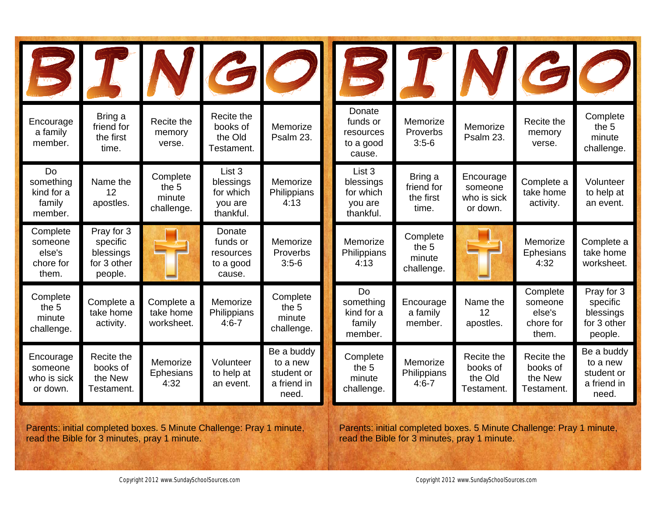| <b>WV-5</b>                                         |                                                               |                                           | VGO                                                      |                                                              | MA <sub>22</sub>                                         |                                             |                                                 |                                                     | 30                                                            |
|-----------------------------------------------------|---------------------------------------------------------------|-------------------------------------------|----------------------------------------------------------|--------------------------------------------------------------|----------------------------------------------------------|---------------------------------------------|-------------------------------------------------|-----------------------------------------------------|---------------------------------------------------------------|
| Encourage<br>a family<br>member.                    | Bring a<br>friend for<br>the first<br>time.                   | Recite the<br>memory<br>verse.            | Recite the<br>books of<br>the Old<br>Testament.          | Memorize<br>Psalm 23.                                        | Donate<br>funds or<br>resources<br>to a good<br>cause.   | Memorize<br>Proverbs<br>$3:5-6$             | Memorize<br>Psalm 23.                           | Recite the<br>memory<br>verse.                      | Complete<br>the 5<br>minute<br>challenge.                     |
| Do<br>something<br>kind for a<br>family<br>member.  | Name the<br>12<br>apostles.                                   | Complete<br>the 5<br>minute<br>challenge. | List 3<br>blessings<br>for which<br>you are<br>thankful. | Memorize<br>Philippians<br>4:13                              | List 3<br>blessings<br>for which<br>you are<br>thankful. | Bring a<br>friend for<br>the first<br>time. | Encourage<br>someone<br>who is sick<br>or down. | Complete a<br>take home<br>activity.                | Volunteer<br>to help at<br>an event.                          |
| Complete<br>someone<br>else's<br>chore for<br>them. | Pray for 3<br>specific<br>blessings<br>for 3 other<br>people. |                                           | Donate<br>funds or<br>resources<br>to a good<br>cause.   | Memorize<br>Proverbs<br>$3:5-6$                              | Memorize<br>Philippians<br>4:13                          | Complete<br>the 5<br>minute<br>challenge.   |                                                 | Memorize<br>Ephesians<br>4:32                       | Complete a<br>take home<br>worksheet.                         |
| Complete<br>the 5<br>minute<br>challenge.           | Complete a<br>take home<br>activity.                          | Complete a<br>take home<br>worksheet.     | Memorize<br>Philippians<br>$4:6 - 7$                     | Complete<br>the 5<br>minute<br>challenge.                    | Do<br>something<br>kind for a<br>family<br>member.       | Encourage<br>a family<br>member.            | Name the<br>12<br>apostles.                     | Complete<br>someone<br>else's<br>chore for<br>them. | Pray for 3<br>specific<br>blessings<br>for 3 other<br>people. |
| Encourage<br>someone<br>who is sick<br>or down.     | Recite the<br>books of<br>the New<br>Testament.               | Memorize<br>Ephesians<br>4:32             | Volunteer<br>to help at<br>an event.                     | Be a buddy<br>to a new<br>student or<br>a friend in<br>need. | Complete<br>the 5<br>minute<br>challenge.                | Memorize<br>Philippians<br>$4:6 - 7$        | Recite the<br>books of<br>the Old<br>Testament. | Recite the<br>books of<br>the New<br>Testament.     | Be a buddy<br>to a new<br>student or<br>a friend in<br>need.  |